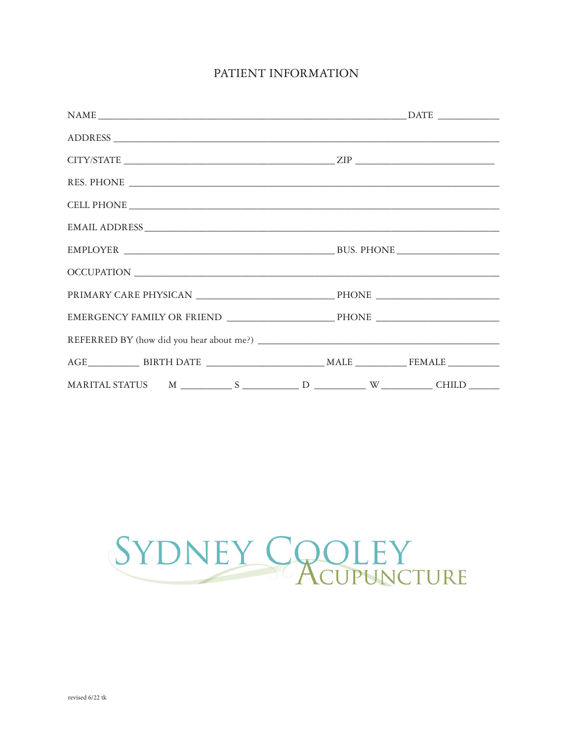# PATIENT INFORMATION

| $\begin{tabular}{c} \bf{NAME} \end{tabular} \begin{tabular}{p{0.8cm}} \textbf{NAME} \end{tabular} \begin{tabular}{p{0.8cm}} \textbf{NAME} \end{tabular} \begin{tabular}{p{0.8cm}} \textbf{NAME} \end{tabular} \begin{tabular}{p{0.8cm}} \textbf{NAME} \end{tabular} \end{tabular} \begin{tabular}{p{0.8cm}} \textbf{NAME} \end{tabular} \begin{tabular}{p{0.8cm}} \textbf{NAME} \end{tabular} \begin{tabular}{p{0.8cm}} \textbf{NAME} \end{tabular} \begin{tabular}{p{0.8cm}} \textbf{NAME} \$                                |  |
|-------------------------------------------------------------------------------------------------------------------------------------------------------------------------------------------------------------------------------------------------------------------------------------------------------------------------------------------------------------------------------------------------------------------------------------------------------------------------------------------------------------------------------|--|
|                                                                                                                                                                                                                                                                                                                                                                                                                                                                                                                               |  |
| $CITY/STATE \begin{tabular}{l} \multicolumn{2}{c} {\textbf \texttt{CITY}} \end{tabular} \begin{tabular}{l} \multicolumn{2}{c} {\textbf \texttt{CITY}} \end{tabular} \begin{tabular}{l} \multicolumn{2}{c} {\textbf \texttt{CITY}} \end{tabular} \begin{tabular}{l} \multicolumn{2}{c} {\textbf \texttt{CITY}} \end{tabular} \begin{tabular}{l} \multicolumn{2}{c} {\textbf \texttt{CITY}} \end{tabular} \begin{tabular}{l} \multicolumn{2}{c} {\textbf \texttt{CITY}} \end{tabular} \begin{tabular}{l} \multicolumn{2}{c} {\$ |  |
|                                                                                                                                                                                                                                                                                                                                                                                                                                                                                                                               |  |
|                                                                                                                                                                                                                                                                                                                                                                                                                                                                                                                               |  |
|                                                                                                                                                                                                                                                                                                                                                                                                                                                                                                                               |  |
|                                                                                                                                                                                                                                                                                                                                                                                                                                                                                                                               |  |
|                                                                                                                                                                                                                                                                                                                                                                                                                                                                                                                               |  |
|                                                                                                                                                                                                                                                                                                                                                                                                                                                                                                                               |  |
|                                                                                                                                                                                                                                                                                                                                                                                                                                                                                                                               |  |
|                                                                                                                                                                                                                                                                                                                                                                                                                                                                                                                               |  |
|                                                                                                                                                                                                                                                                                                                                                                                                                                                                                                                               |  |
|                                                                                                                                                                                                                                                                                                                                                                                                                                                                                                                               |  |
|                                                                                                                                                                                                                                                                                                                                                                                                                                                                                                                               |  |

# SYDNEY COOLEY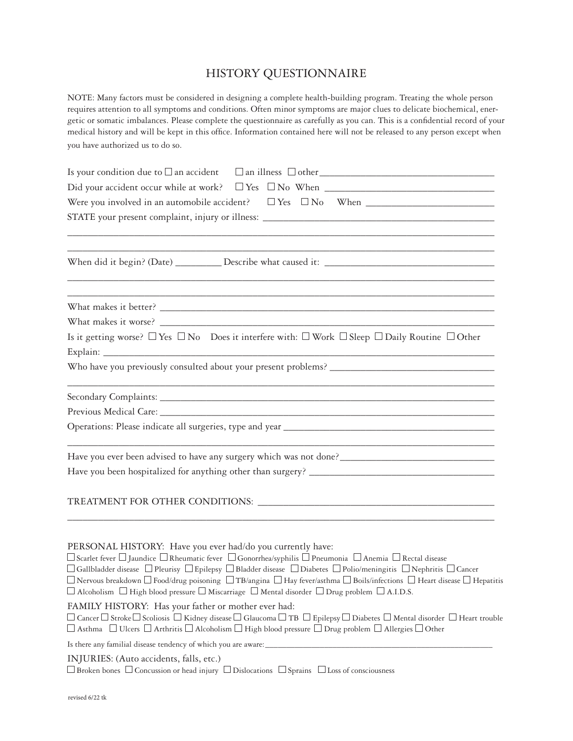# HISTORY QUESTIONNAIRE

NOTE: Many factors must be considered in designing a complete health-building program. Treating the whole person requires attention to all symptoms and conditions. Often minor symptoms are major clues to delicate biochemical, energetic or somatic imbalances. Please complete the questionnaire as carefully as you can. This is a confidential record of your medical history and will be kept in this office. Information contained here will not be released to any person except when you have authorized us to do so.

| Were you involved in an automobile accident? $\square$ Yes $\square$ No $\square$ When $\square$                                                                                                                                                                                                                                |
|---------------------------------------------------------------------------------------------------------------------------------------------------------------------------------------------------------------------------------------------------------------------------------------------------------------------------------|
|                                                                                                                                                                                                                                                                                                                                 |
|                                                                                                                                                                                                                                                                                                                                 |
|                                                                                                                                                                                                                                                                                                                                 |
|                                                                                                                                                                                                                                                                                                                                 |
|                                                                                                                                                                                                                                                                                                                                 |
|                                                                                                                                                                                                                                                                                                                                 |
|                                                                                                                                                                                                                                                                                                                                 |
| Is it getting worse? $\Box$ Yes $\Box$ No Does it interfere with: $\Box$ Work $\Box$ Sleep $\Box$ Daily Routine $\Box$ Other                                                                                                                                                                                                    |
|                                                                                                                                                                                                                                                                                                                                 |
|                                                                                                                                                                                                                                                                                                                                 |
|                                                                                                                                                                                                                                                                                                                                 |
|                                                                                                                                                                                                                                                                                                                                 |
| <u> 1980 - John Stone, marking and de format and de format and design and design and design and design and design</u><br>Have you ever been advised to have any surgery which was not done?__________________________________                                                                                                   |
|                                                                                                                                                                                                                                                                                                                                 |
|                                                                                                                                                                                                                                                                                                                                 |
|                                                                                                                                                                                                                                                                                                                                 |
| PERSONAL HISTORY: Have you ever had/do you currently have:                                                                                                                                                                                                                                                                      |
| $\Box$ Scarlet fever $\Box$ Jaundice $\Box$ Rheumatic fever $\Box$ Gonorrhea/syphilis $\Box$ Pneumonia $\Box$ Anemia $\Box$ Rectal disease                                                                                                                                                                                      |
| $\Box$ Gallbladder disease $~\Box$ Pleurisy $~\Box$ Epilepsy $~\Box$ Bladder disease $~\Box$ Diabetes $~\Box$ Polio/meningitis $~\Box$ Nephritis $~\Box$ Cancer                                                                                                                                                                 |
| $\Box$ Nervous breakdown $\Box$ Food/drug poisoning $\;\Box$ TB/angina $\;\Box$ Hay fever/asthma $\Box$ Boils/infections $\;\Box$ Heart disease $\Box$ Hepatitis<br>$\Box$ Alcoholism $\Box$ High blood pressure $\Box$ Miscarriage $\Box$ Mental disorder $\Box$ Drug problem $\Box$ A.I.D.S.                                  |
| FAMILY HISTORY: Has your father or mother ever had:                                                                                                                                                                                                                                                                             |
| $\Box$ Cancer $\Box$ Stroke $\Box$ Scoliosis $\Box$ Kidney disease $\Box$ Glaucoma $\Box$ TB $\Box$ Epilepsy $\Box$ Diabetes $\Box$ Mental disorder $\Box$ Heart trouble<br>$\Box$ Asthma $\;\;\Box$ Ulcers $\;\Box$ Arthritis $\Box$ Alcoholism $\Box$ High blood pressure $\;\Box$ Drug problem $\Box$ Allergies $\Box$ Other |
| Is there any familial disease tendency of which you are aware:                                                                                                                                                                                                                                                                  |
| INJURIES: (Auto accidents, falls, etc.)                                                                                                                                                                                                                                                                                         |
| $\Box$ Broken bones $\Box$ Concussion or head injury $\Box$ Dislocations $\Box$ Sprains $\Box$ Loss of consciousness                                                                                                                                                                                                            |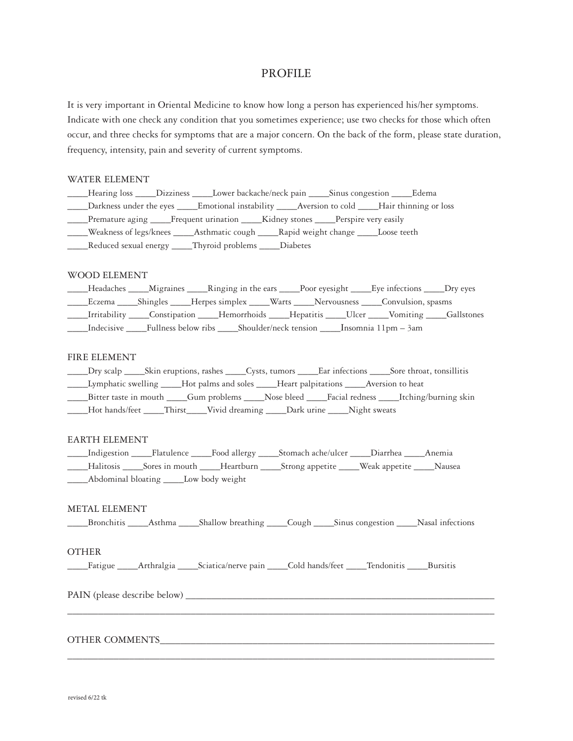## PROFILE

It is very important in Oriental Medicine to know how long a person has experienced his/her symptoms. Indicate with one check any condition that you sometimes experience; use two checks for those which often occur, and three checks for symptoms that are a major concern. On the back of the form, please state duration, frequency, intensity, pain and severity of current symptoms.

#### WATER ELEMENT

| Lower backache/neck pain<br><b>Dizziness</b><br>Hearing loss<br>Sinus congestion | Edema |  |
|----------------------------------------------------------------------------------|-------|--|
|----------------------------------------------------------------------------------|-------|--|

\_\_\_\_Darkness under the eyes \_\_\_\_Emotional instability \_\_\_\_Aversion to cold \_\_\_\_Hair thinning or loss

\_\_\_\_Premature aging \_\_\_\_Frequent urination \_\_\_\_Kidney stones \_\_\_\_Perspire very easily

\_\_\_\_Weakness of legs/knees \_\_\_\_Asthmatic cough \_\_\_\_Rapid weight change \_\_\_\_Loose teeth

\_\_\_\_Reduced sexual energy \_\_\_\_Thyroid problems \_\_\_\_Diabetes

#### WOOD ELEMENT

| Headaches Migraines Ringing in the ears Poor eyesight Eye infections Dry eyes |  |  |  |
|-------------------------------------------------------------------------------|--|--|--|
| Eczema Shingles Herpes simplex Warts Nervousness Convulsion, spasms           |  |  |  |
| Irritability Constipation Hemorrhoids Hepatitis Ulcer Vomiting Gallstones     |  |  |  |
|                                                                               |  |  |  |

#### FIRE ELEMENT

\_\_\_\_Dry scalp \_\_\_\_Skin eruptions, rashes \_\_\_\_Cysts, tumors \_\_\_\_Ear infections \_\_\_\_Sore throat, tonsillitis

\_\_\_\_Lymphatic swelling \_\_\_\_Hot palms and soles \_\_\_\_Heart palpitations \_\_\_\_Aversion to heat

\_\_\_\_Bitter taste in mouth \_\_\_\_Gum problems \_\_\_\_Nose bleed \_\_\_\_Facial redness \_\_\_\_Itching/burning skin \_\_\_\_Hot hands/feet \_\_\_\_Thirst\_\_\_\_Vivid dreaming \_\_\_\_Dark urine \_\_\_\_Night sweats

#### EARTH ELEMENT

\_\_\_\_Indigestion \_\_\_\_Flatulence \_\_\_\_Food allergy \_\_\_\_Stomach ache/ulcer \_\_\_\_Diarrhea \_\_\_\_Anemia \_\_\_\_Halitosis \_\_\_\_Sores in mouth \_\_\_\_Heartburn \_\_\_\_Strong appetite \_\_\_\_Weak appetite \_\_\_\_Nausea \_\_\_\_Abdominal bloating \_\_\_\_Low body weight

#### METAL ELEMENT

\_\_\_\_Bronchitis \_\_\_\_Asthma \_\_\_\_Shallow breathing \_\_\_\_Cough \_\_\_\_Sinus congestion \_\_\_\_Nasal infections

\_\_\_\_\_\_\_\_\_\_\_\_\_\_\_\_\_\_\_\_\_\_\_\_\_\_\_\_\_\_\_\_\_\_\_\_\_\_\_\_\_\_\_\_\_\_\_\_\_\_\_\_\_\_\_\_\_\_\_\_\_\_\_\_\_\_\_\_\_\_\_\_\_\_\_\_\_\_\_\_\_\_\_

\_\_\_\_\_\_\_\_\_\_\_\_\_\_\_\_\_\_\_\_\_\_\_\_\_\_\_\_\_\_\_\_\_\_\_\_\_\_\_\_\_\_\_\_\_\_\_\_\_\_\_\_\_\_\_\_\_\_\_\_\_\_\_\_\_\_\_\_\_\_\_\_\_\_\_\_\_\_\_\_\_\_\_

#### OTHER

| Fatigue | Arthralgia | Sciatica/nerve pain | Cold hands/feet | Tendonitis | Bursitis |
|---------|------------|---------------------|-----------------|------------|----------|
|         |            |                     |                 |            |          |

PAIN (please describe below) \_\_\_\_\_\_\_\_\_\_\_\_\_\_\_\_\_\_\_\_\_\_\_\_\_\_\_\_\_\_\_\_\_\_\_\_\_\_\_\_\_\_\_\_\_\_\_\_\_\_\_\_\_\_\_\_\_\_\_\_

## OTHER COMMENTS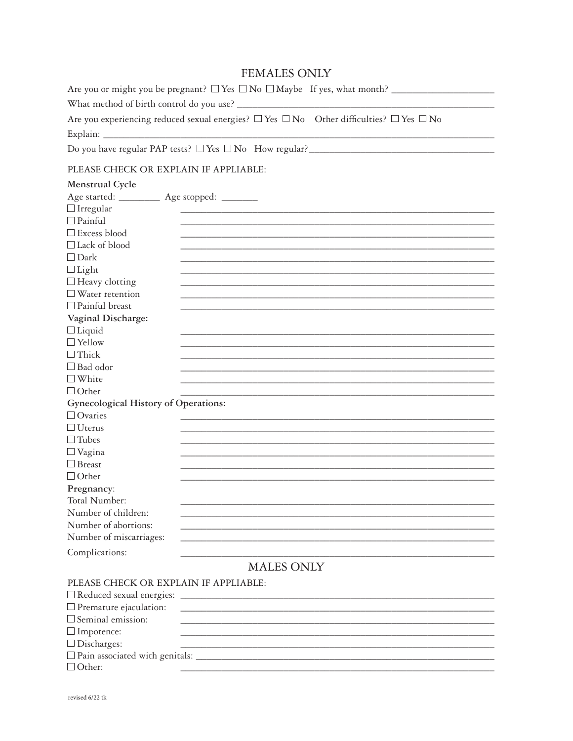# **FEMALES ONLY**

| Are you or might you be pregnant? $\Box$ Yes $\Box$ No $\Box$ Maybe If yes, what month?                     |
|-------------------------------------------------------------------------------------------------------------|
| What method of birth control do you use?                                                                    |
| Are you experiencing reduced sexual energies? $\Box$ Yes $\Box$ No Other difficulties? $\Box$ Yes $\Box$ No |
| Explain:                                                                                                    |

## PLEASE CHECK OR EXPLAIN IF APPLIABLE:

| Menstrual Cycle                                    |                                       |
|----------------------------------------------------|---------------------------------------|
| Age started: ____                                  | ______ Age stopped: ________          |
| $\Box$ Irregular                                   |                                       |
| $\Box$ Painful                                     |                                       |
| $\square$ Excess blood                             |                                       |
| $\Box$ Lack of blood                               |                                       |
| $\Box$ Dark                                        |                                       |
| $\Box$ Light                                       |                                       |
| $\Box$ Heavy clotting                              |                                       |
| $\Box$ Water retention                             |                                       |
| $\Box$ Painful breast                              |                                       |
| Vaginal Discharge:                                 |                                       |
| $\Box$ Liquid                                      |                                       |
| $\Box$ Yellow                                      |                                       |
| $\Box$ Thick                                       |                                       |
| $\Box$ Bad odor                                    |                                       |
| $\Box$ White                                       |                                       |
| $\Box$ Other                                       |                                       |
| Gynecological History of Operations:               |                                       |
| $\Box$ Ovaries                                     |                                       |
| $\Box$ Uterus                                      |                                       |
| $\Box$ Tubes                                       |                                       |
| $\Box$ Vagina                                      |                                       |
| $\Box$<br>Breast                                   |                                       |
| $\Box$ Other                                       |                                       |
| Pregnancy:                                         |                                       |
| Total Number:                                      |                                       |
| Number of children:                                |                                       |
| Number of abortions:                               |                                       |
| Number of miscarriages:                            |                                       |
| Complications:                                     |                                       |
|                                                    | <b>MALES ONLY</b>                     |
|                                                    | PLEASE CHECK OR EXPLAIN IF APPLIABLE: |
|                                                    |                                       |
| $\Box$ Premature ejaculation:                      |                                       |
| $\Box$ Seminal emission:                           |                                       |
| $\square$ Impotence:                               |                                       |
| $\Box$ Discharges:                                 |                                       |
| $\square$ Pain associated with genitals: $\square$ |                                       |
|                                                    |                                       |

 $\Box$  Other: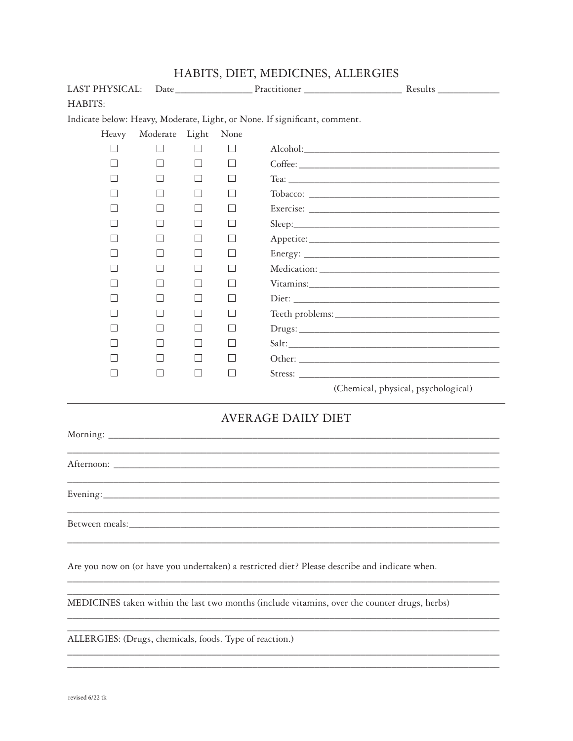| LAST PHYSICAL:    |                   |            |              |                                                                           |                                                                                               |
|-------------------|-------------------|------------|--------------|---------------------------------------------------------------------------|-----------------------------------------------------------------------------------------------|
| HABITS:           |                   |            |              |                                                                           |                                                                                               |
|                   |                   |            |              | Indicate below: Heavy, Moderate, Light, or None. If significant, comment. |                                                                                               |
| Heavy             | Moderate          | Light None |              |                                                                           |                                                                                               |
|                   |                   |            |              |                                                                           |                                                                                               |
| $\vert \ \ \vert$ | $\vert \ \ \vert$ |            | $\Box$       |                                                                           |                                                                                               |
|                   |                   |            | $\perp$      |                                                                           |                                                                                               |
|                   |                   |            |              |                                                                           |                                                                                               |
|                   |                   |            | $\mathsf{L}$ |                                                                           |                                                                                               |
|                   |                   |            | $\perp$      |                                                                           |                                                                                               |
|                   |                   |            | $\perp$      |                                                                           |                                                                                               |
|                   |                   |            | $\perp$      |                                                                           |                                                                                               |
|                   |                   |            |              |                                                                           |                                                                                               |
|                   |                   |            |              |                                                                           |                                                                                               |
|                   |                   |            | $\mathsf{L}$ |                                                                           |                                                                                               |
|                   |                   |            |              |                                                                           |                                                                                               |
|                   |                   |            |              |                                                                           |                                                                                               |
|                   |                   |            | $\mathsf{L}$ |                                                                           | Salt:                                                                                         |
|                   |                   |            | $\perp$      |                                                                           |                                                                                               |
| $\mathbf{I}$      | $\perp$           | $\perp$    | $\perp$      |                                                                           |                                                                                               |
|                   |                   |            |              |                                                                           | (Chemical, physical, psychological)                                                           |
|                   |                   |            |              | <b>AVERAGE DAILY DIET</b>                                                 |                                                                                               |
|                   |                   |            |              |                                                                           | ,我们也不能在这里的人,我们也不能在这里的人,我们也不能在这里的人,我们也不能在这里的人,我们也不能在这里的人,我们也不能在这里的人,我们也不能在这里的人,我们也             |
|                   |                   |            |              |                                                                           |                                                                                               |
|                   |                   |            |              |                                                                           |                                                                                               |
|                   |                   |            |              |                                                                           |                                                                                               |
|                   |                   |            |              |                                                                           | Are you now on (or have you undertaken) a restricted diet? Please describe and indicate when. |
|                   |                   |            |              |                                                                           | MEDICINES taken within the last two months (include vitamins, over the counter drugs, herbs)  |
|                   |                   |            |              |                                                                           |                                                                                               |

HABITS, DIET, MEDICINES, ALLERGIES

ALLERGIES: (Drugs, chemicals, foods. Type of reaction.)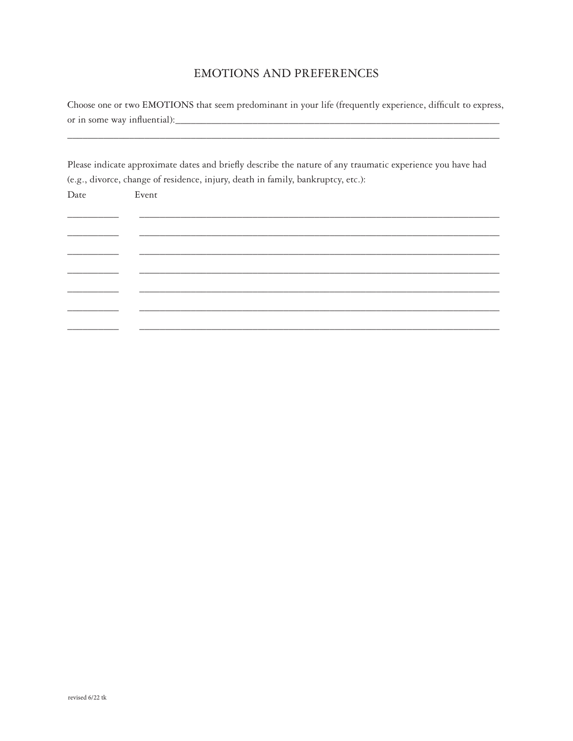# **EMOTIONS AND PREFERENCES**

Choose one or two EMOTIONS that seem predominant in your life (frequently experience, difficult to express, 

Please indicate approximate dates and briefly describe the nature of any traumatic experience you have had (e.g., divorce, change of residence, injury, death in family, bankruptcy, etc.):

| Date | Event |  |
|------|-------|--|
|      |       |  |
|      |       |  |
|      |       |  |
|      |       |  |
|      |       |  |
|      |       |  |
|      |       |  |
|      |       |  |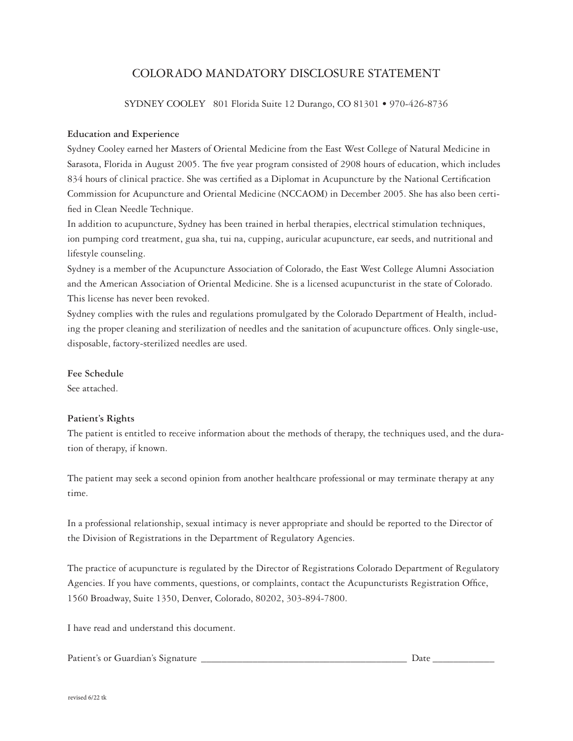# COLORADO MANDATORY DISCLOSURE STATEMENT

SYDNEY COOLEY 801 Florida Suite 12 Durango, CO 81301 • 970-426-8736

### **Education and Experience**

Sydney Cooley earned her Masters of Oriental Medicine from the East West College of Natural Medicine in Sarasota, Florida in August 2005. The five year program consisted of 2908 hours of education, which includes 834 hours of clinical practice. She was certified as a Diplomat in Acupuncture by the National Certification Commission for Acupuncture and Oriental Medicine (NCCAOM) in December 2005. She has also been certified in Clean Needle Technique.

In addition to acupuncture, Sydney has been trained in herbal therapies, electrical stimulation techniques, ion pumping cord treatment, gua sha, tui na, cupping, auricular acupuncture, ear seeds, and nutritional and lifestyle counseling.

Sydney is a member of the Acupuncture Association of Colorado, the East West College Alumni Association and the American Association of Oriental Medicine. She is a licensed acupuncturist in the state of Colorado. This license has never been revoked.

Sydney complies with the rules and regulations promulgated by the Colorado Department of Health, including the proper cleaning and sterilization of needles and the sanitation of acupuncture offices. Only single-use, disposable, factory-sterilized needles are used.

## **Fee Schedule**

See attached.

## **Patient's Rights**

The patient is entitled to receive information about the methods of therapy, the techniques used, and the duration of therapy, if known.

The patient may seek a second opinion from another healthcare professional or may terminate therapy at any time.

In a professional relationship, sexual intimacy is never appropriate and should be reported to the Director of the Division of Registrations in the Department of Regulatory Agencies.

The practice of acupuncture is regulated by the Director of Registrations Colorado Department of Regulatory Agencies. If you have comments, questions, or complaints, contact the Acupuncturists Registration Office, 1560 Broadway, Suite 1350, Denver, Colorado, 80202, 303-894-7800.

I have read and understand this document.

Patient's or Guardian's Signature \_\_\_\_\_\_\_\_\_\_\_\_\_\_\_\_\_\_\_\_\_\_\_\_\_\_\_\_\_\_\_\_\_\_\_\_\_\_\_\_ Date \_\_\_\_\_\_\_\_\_\_\_\_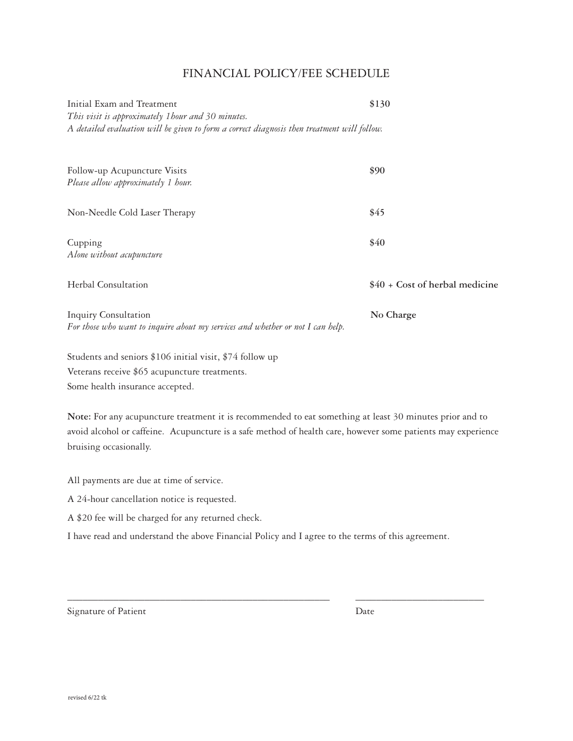## Financial Policy/Fee Schedule

| Initial Exam and Treatment<br>This visit is approximately 1 hour and 30 minutes.<br>A detailed evaluation will be given to form a correct diagnosis then treatment will follow. | \$130                           |
|---------------------------------------------------------------------------------------------------------------------------------------------------------------------------------|---------------------------------|
| Follow-up Acupuncture Visits<br>Please allow approximately 1 hour.                                                                                                              | \$90                            |
| Non-Needle Cold Laser Therapy                                                                                                                                                   | \$45                            |
| Cupping<br>Alone without acupuncture                                                                                                                                            | \$40                            |
| Herbal Consultation                                                                                                                                                             | $$40 + Cost of herbal medicine$ |
| <b>Inquiry Consultation</b><br>For those who want to inquire about my services and whether or not I can help.                                                                   | No Charge                       |

Students and seniors \$106 initial visit, \$74 follow up Veterans receive \$65 acupuncture treatments. Some health insurance accepted.

**Note:** For any acupuncture treatment it is recommended to eat something at least 30 minutes prior and to avoid alcohol or caffeine. Acupuncture is a safe method of health care, however some patients may experience bruising occasionally.

All payments are due at time of service.

A 24-hour cancellation notice is requested.

A \$20 fee will be charged for any returned check.

I have read and understand the above Financial Policy and I agree to the terms of this agreement.

\_\_\_\_\_\_\_\_\_\_\_\_\_\_\_\_\_\_\_\_\_\_\_\_\_\_\_\_\_\_\_\_\_\_\_\_\_\_\_\_\_\_\_\_\_\_\_\_\_\_\_ \_\_\_\_\_\_\_\_\_\_\_\_\_\_\_\_\_\_\_\_\_\_\_\_\_

Signature of Patient Date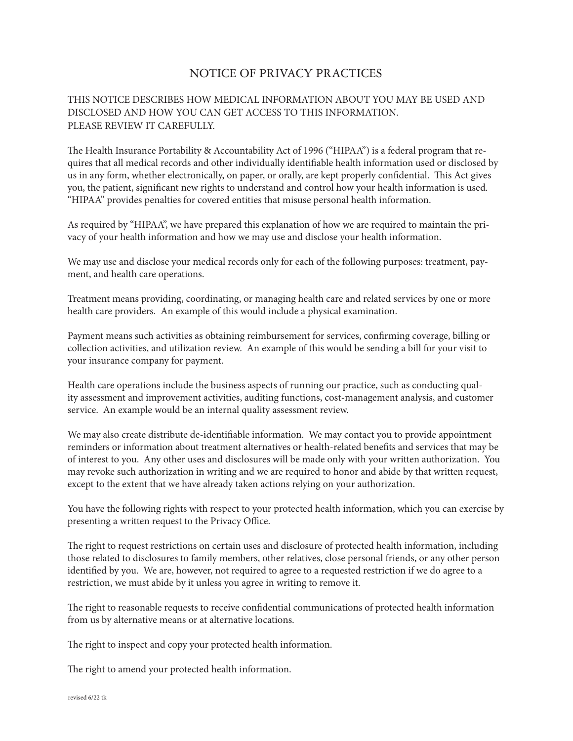# NOTICE OF PRIVACY PRACTICES

## THIS NOTICE DESCRIBES HOW MEDICAL INFORMATION ABOUT YOU MAY BE USED AND DISCLOSED AND HOW YOU CAN GET ACCESS TO THIS INFORMATION. PLEASE REVIEW IT CAREFULLY.

The Health Insurance Portability & Accountability Act of 1996 ("HIPAA") is a federal program that requires that all medical records and other individually identifiable health information used or disclosed by us in any form, whether electronically, on paper, or orally, are kept properly confidential. This Act gives you, the patient, significant new rights to understand and control how your health information is used. "HIPAA" provides penalties for covered entities that misuse personal health information.

As required by "HIPAA", we have prepared this explanation of how we are required to maintain the privacy of your health information and how we may use and disclose your health information.

We may use and disclose your medical records only for each of the following purposes: treatment, payment, and health care operations.

Treatment means providing, coordinating, or managing health care and related services by one or more health care providers. An example of this would include a physical examination.

Payment means such activities as obtaining reimbursement for services, confirming coverage, billing or collection activities, and utilization review. An example of this would be sending a bill for your visit to your insurance company for payment.

Health care operations include the business aspects of running our practice, such as conducting quality assessment and improvement activities, auditing functions, cost-management analysis, and customer service. An example would be an internal quality assessment review.

We may also create distribute de-identifiable information. We may contact you to provide appointment reminders or information about treatment alternatives or health-related benefits and services that may be of interest to you. Any other uses and disclosures will be made only with your written authorization. You may revoke such authorization in writing and we are required to honor and abide by that written request, except to the extent that we have already taken actions relying on your authorization.

You have the following rights with respect to your protected health information, which you can exercise by presenting a written request to the Privacy Office.

The right to request restrictions on certain uses and disclosure of protected health information, including those related to disclosures to family members, other relatives, close personal friends, or any other person identified by you. We are, however, not required to agree to a requested restriction if we do agree to a restriction, we must abide by it unless you agree in writing to remove it.

The right to reasonable requests to receive confidential communications of protected health information from us by alternative means or at alternative locations.

The right to inspect and copy your protected health information.

The right to amend your protected health information.